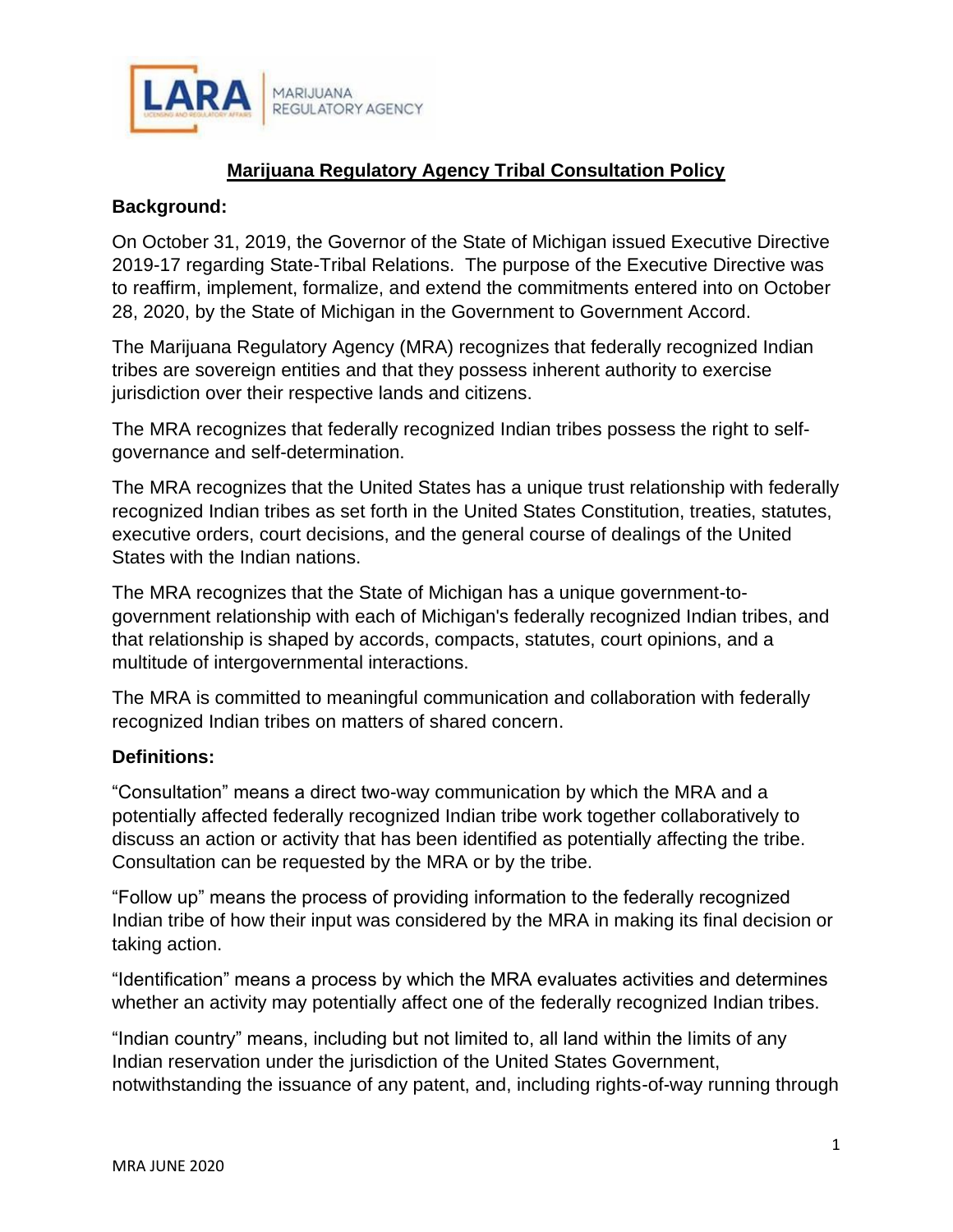

# **Marijuana Regulatory Agency Tribal Consultation Policy**

#### **Background:**

On October 31, 2019, the Governor of the State of Michigan issued Executive Directive 2019-17 regarding State-Tribal Relations. The purpose of the Executive Directive was to reaffirm, implement, formalize, and extend the commitments entered into on October 28, 2020, by the State of Michigan in the Government to Government Accord.

The Marijuana Regulatory Agency (MRA) recognizes that federally recognized Indian tribes are sovereign entities and that they possess inherent authority to exercise jurisdiction over their respective lands and citizens.

The MRA recognizes that federally recognized Indian tribes possess the right to selfgovernance and self-determination.

The MRA recognizes that the United States has a unique trust relationship with federally recognized Indian tribes as set forth in the United States Constitution, treaties, statutes, executive orders, court decisions, and the general course of dealings of the United States with the Indian nations.

The MRA recognizes that the State of Michigan has a unique government-togovernment relationship with each of Michigan's federally recognized Indian tribes, and that relationship is shaped by accords, compacts, statutes, court opinions, and a multitude of intergovernmental interactions.

The MRA is committed to meaningful communication and collaboration with federally recognized Indian tribes on matters of shared concern.

# **Definitions:**

"Consultation" means a direct two-way communication by which the MRA and a potentially affected federally recognized Indian tribe work together collaboratively to discuss an action or activity that has been identified as potentially affecting the tribe. Consultation can be requested by the MRA or by the tribe.

"Follow up" means the process of providing information to the federally recognized Indian tribe of how their input was considered by the MRA in making its final decision or taking action.

"Identification" means a process by which the MRA evaluates activities and determines whether an activity may potentially affect one of the federally recognized Indian tribes.

"Indian country" means, including but not limited to, all land within the limits of any Indian reservation under the jurisdiction of the United States Government, notwithstanding the issuance of any patent, and, including rights-of-way running through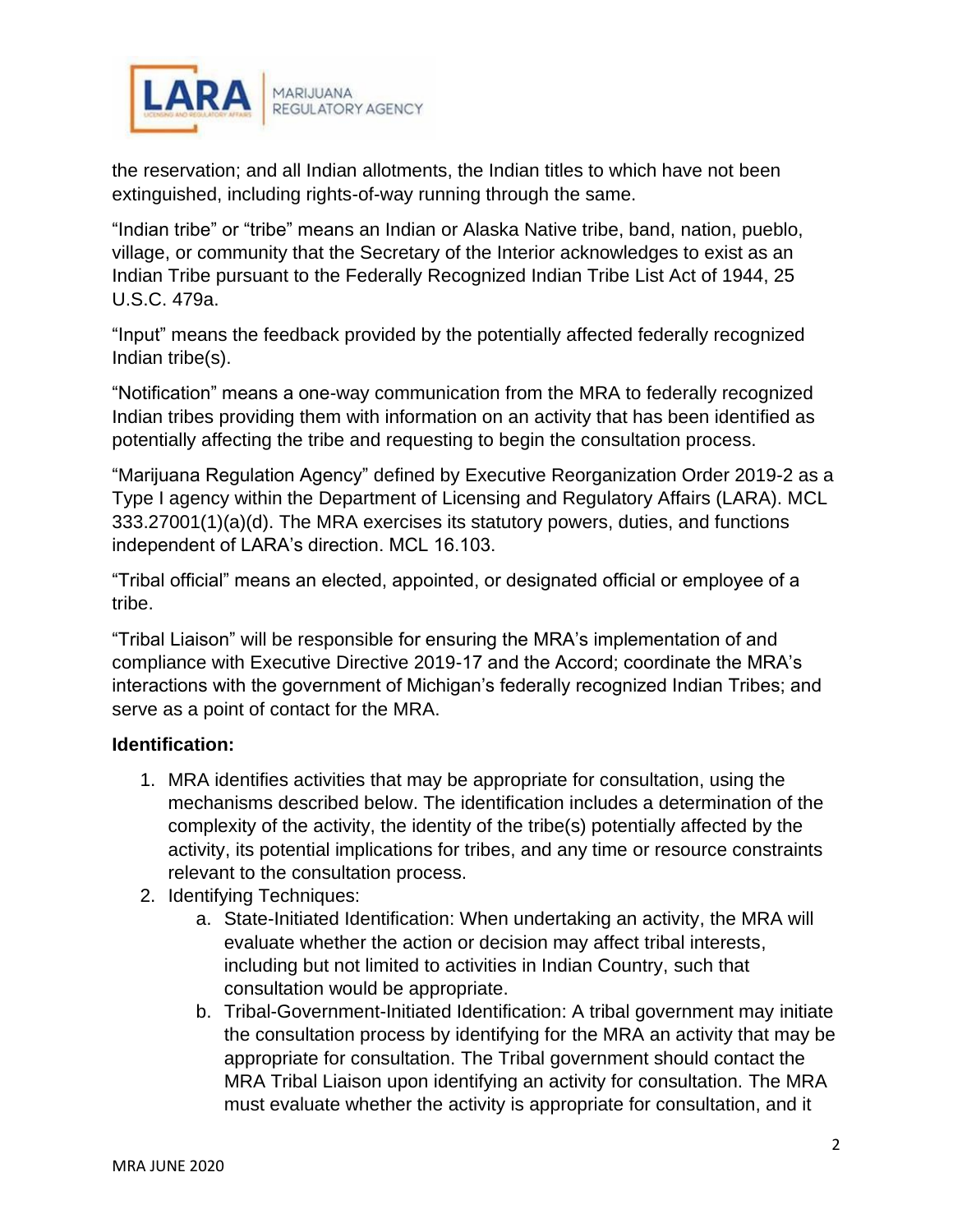

the reservation; and all Indian allotments, the Indian titles to which have not been extinguished, including rights-of-way running through the same.

"Indian tribe" or "tribe" means an Indian or Alaska Native tribe, band, nation, pueblo, village, or community that the Secretary of the Interior acknowledges to exist as an Indian Tribe pursuant to the Federally Recognized Indian Tribe List Act of 1944, 25 U.S.C. 479a.

"Input" means the feedback provided by the potentially affected federally recognized Indian tribe(s).

"Notification" means a one-way communication from the MRA to federally recognized Indian tribes providing them with information on an activity that has been identified as potentially affecting the tribe and requesting to begin the consultation process.

"Marijuana Regulation Agency" defined by Executive Reorganization Order 2019-2 as a Type I agency within the Department of Licensing and Regulatory Affairs (LARA). MCL 333.27001(1)(a)(d). The MRA exercises its statutory powers, duties, and functions independent of LARA's direction. MCL 16.103.

"Tribal official" means an elected, appointed, or designated official or employee of a tribe.

"Tribal Liaison" will be responsible for ensuring the MRA's implementation of and compliance with Executive Directive 2019-17 and the Accord; coordinate the MRA's interactions with the government of Michigan's federally recognized Indian Tribes; and serve as a point of contact for the MRA.

# **Identification:**

- 1. MRA identifies activities that may be appropriate for consultation, using the mechanisms described below. The identification includes a determination of the complexity of the activity, the identity of the tribe(s) potentially affected by the activity, its potential implications for tribes, and any time or resource constraints relevant to the consultation process.
- 2. Identifying Techniques:
	- a. State-Initiated Identification: When undertaking an activity, the MRA will evaluate whether the action or decision may affect tribal interests, including but not limited to activities in Indian Country, such that consultation would be appropriate.
	- b. Tribal-Government-Initiated Identification: A tribal government may initiate the consultation process by identifying for the MRA an activity that may be appropriate for consultation. The Tribal government should contact the MRA Tribal Liaison upon identifying an activity for consultation. The MRA must evaluate whether the activity is appropriate for consultation, and it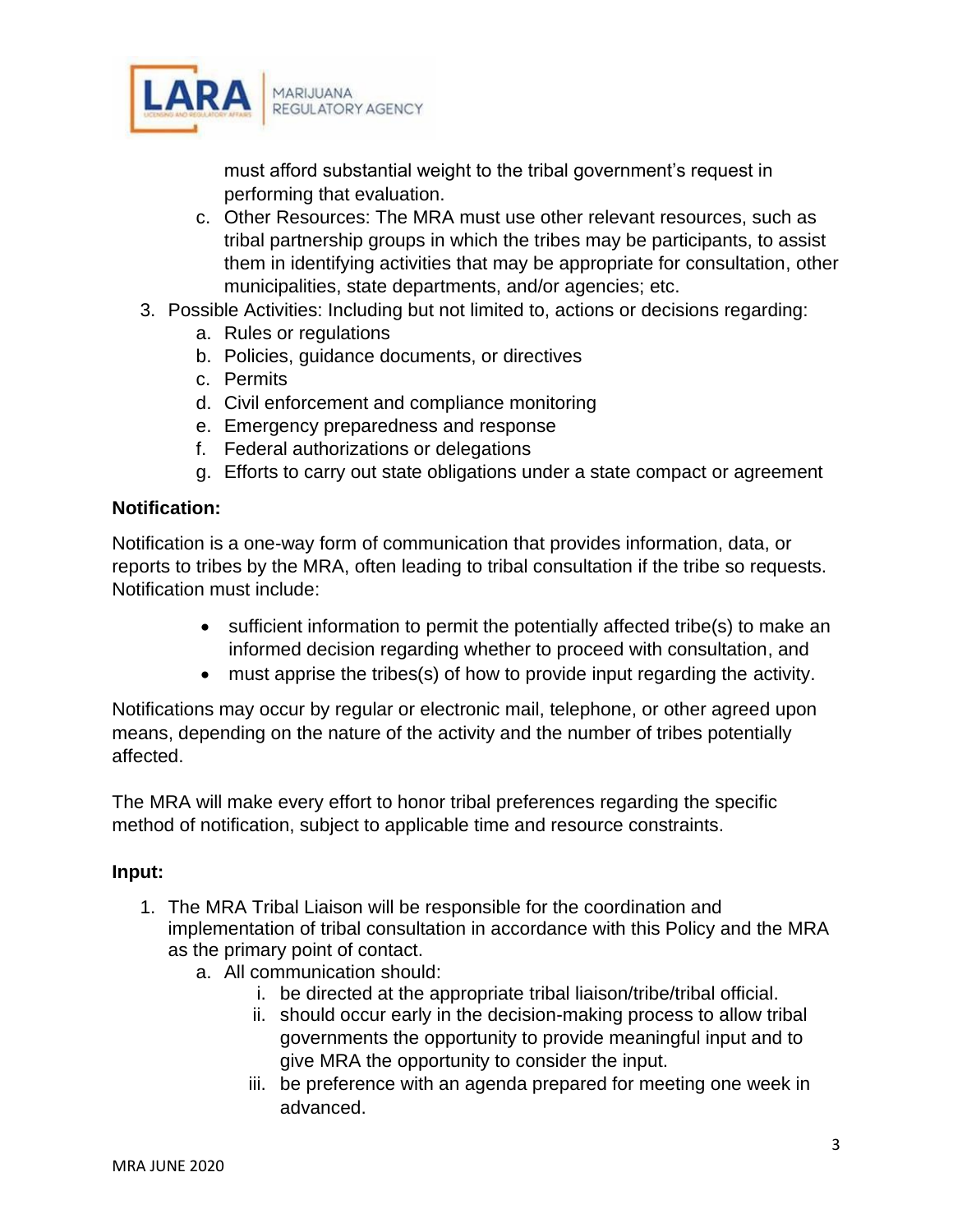

must afford substantial weight to the tribal government's request in performing that evaluation.

- c. Other Resources: The MRA must use other relevant resources, such as tribal partnership groups in which the tribes may be participants, to assist them in identifying activities that may be appropriate for consultation, other municipalities, state departments, and/or agencies; etc.
- 3. Possible Activities: Including but not limited to, actions or decisions regarding:
	- a. Rules or regulations
	- b. Policies, guidance documents, or directives
	- c. Permits
	- d. Civil enforcement and compliance monitoring
	- e. Emergency preparedness and response
	- f. Federal authorizations or delegations
	- g. Efforts to carry out state obligations under a state compact or agreement

# **Notification:**

Notification is a one-way form of communication that provides information, data, or reports to tribes by the MRA, often leading to tribal consultation if the tribe so requests. Notification must include:

- sufficient information to permit the potentially affected tribe(s) to make an informed decision regarding whether to proceed with consultation, and
- must apprise the tribes(s) of how to provide input regarding the activity.

Notifications may occur by regular or electronic mail, telephone, or other agreed upon means, depending on the nature of the activity and the number of tribes potentially affected.

The MRA will make every effort to honor tribal preferences regarding the specific method of notification, subject to applicable time and resource constraints.

# **Input:**

- 1. The MRA Tribal Liaison will be responsible for the coordination and implementation of tribal consultation in accordance with this Policy and the MRA as the primary point of contact.
	- a. All communication should:
		- i. be directed at the appropriate tribal liaison/tribe/tribal official.
		- ii. should occur early in the decision-making process to allow tribal governments the opportunity to provide meaningful input and to give MRA the opportunity to consider the input.
		- iii. be preference with an agenda prepared for meeting one week in advanced.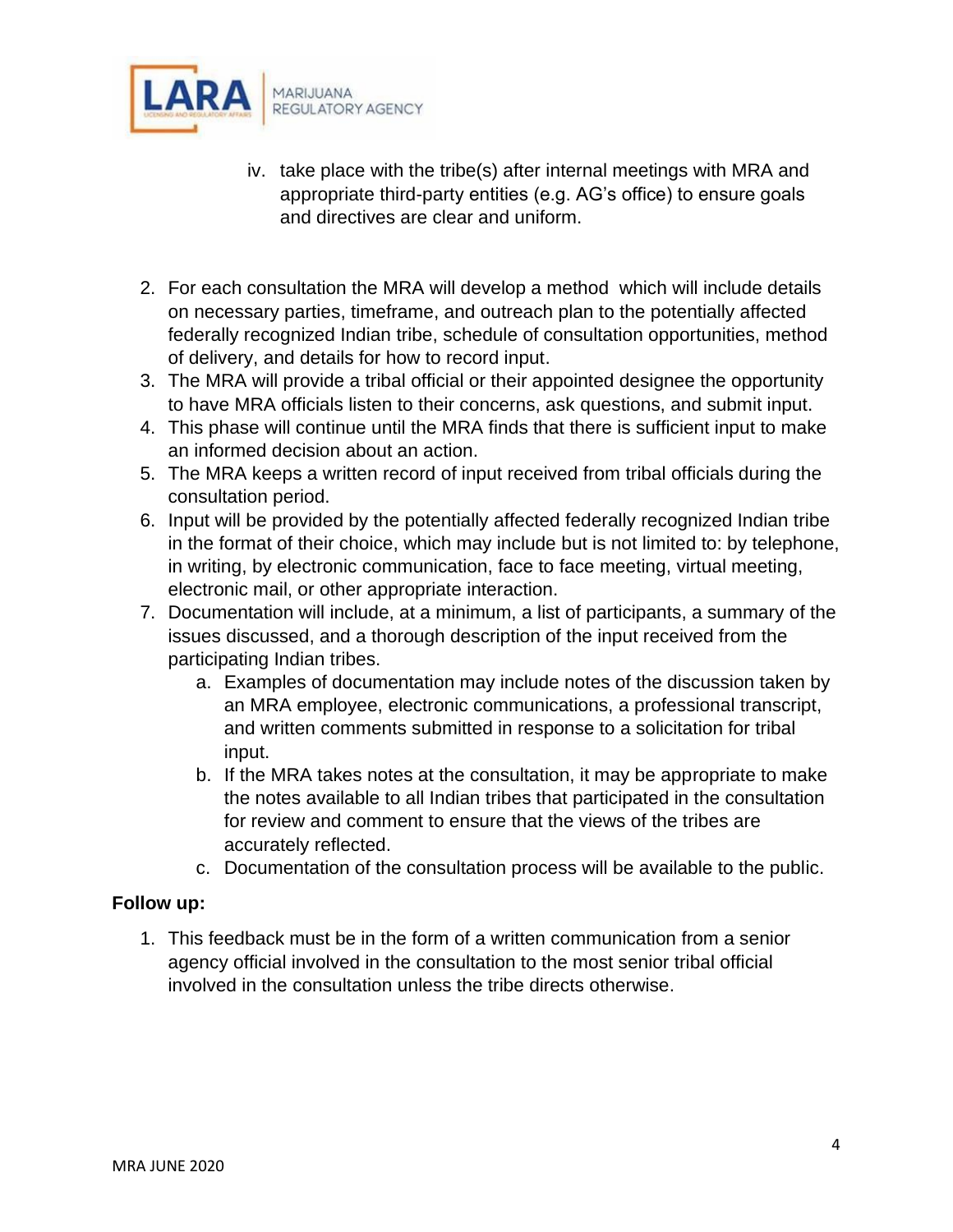

- iv. take place with the tribe(s) after internal meetings with MRA and appropriate third-party entities (e.g. AG's office) to ensure goals and directives are clear and uniform.
- 2. For each consultation the MRA will develop a method which will include details on necessary parties, timeframe, and outreach plan to the potentially affected federally recognized Indian tribe, schedule of consultation opportunities, method of delivery, and details for how to record input.
- 3. The MRA will provide a tribal official or their appointed designee the opportunity to have MRA officials listen to their concerns, ask questions, and submit input.
- 4. This phase will continue until the MRA finds that there is sufficient input to make an informed decision about an action.
- 5. The MRA keeps a written record of input received from tribal officials during the consultation period.
- 6. Input will be provided by the potentially affected federally recognized Indian tribe in the format of their choice, which may include but is not limited to: by telephone, in writing, by electronic communication, face to face meeting, virtual meeting, electronic mail, or other appropriate interaction.
- 7. Documentation will include, at a minimum, a list of participants, a summary of the issues discussed, and a thorough description of the input received from the participating Indian tribes.
	- a. Examples of documentation may include notes of the discussion taken by an MRA employee, electronic communications, a professional transcript, and written comments submitted in response to a solicitation for tribal input.
	- b. If the MRA takes notes at the consultation, it may be appropriate to make the notes available to all Indian tribes that participated in the consultation for review and comment to ensure that the views of the tribes are accurately reflected.
	- c. Documentation of the consultation process will be available to the public.

# **Follow up:**

1. This feedback must be in the form of a written communication from a senior agency official involved in the consultation to the most senior tribal official involved in the consultation unless the tribe directs otherwise.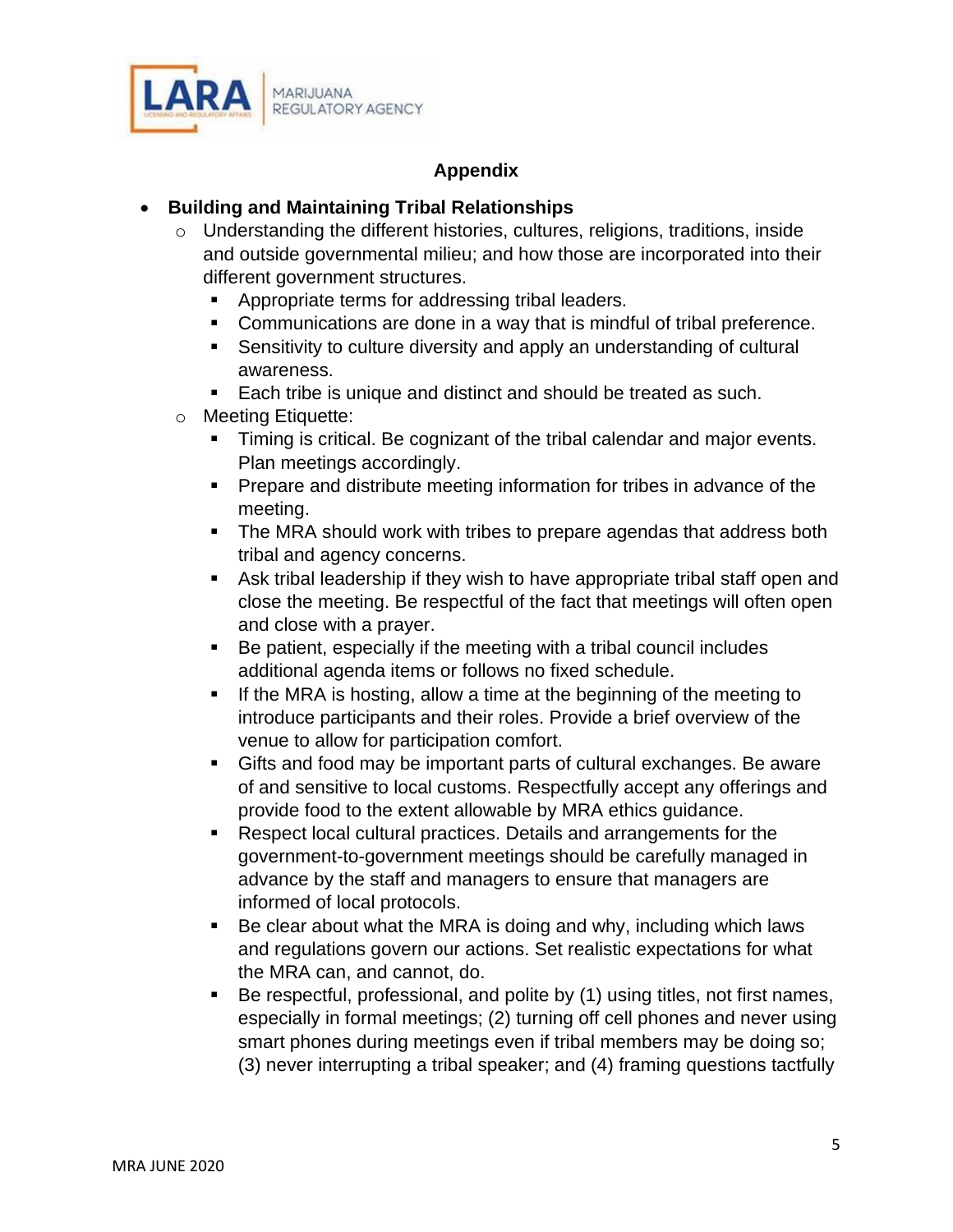

# **Appendix**

# • **Building and Maintaining Tribal Relationships**

- o Understanding the different histories, cultures, religions, traditions, inside and outside governmental milieu; and how those are incorporated into their different government structures.
	- Appropriate terms for addressing tribal leaders.
	- Communications are done in a way that is mindful of tribal preference.
	- Sensitivity to culture diversity and apply an understanding of cultural awareness.
	- Each tribe is unique and distinct and should be treated as such.
- o Meeting Etiquette:
	- **Timing is critical. Be cognizant of the tribal calendar and major events.** Plan meetings accordingly.
	- Prepare and distribute meeting information for tribes in advance of the meeting.
	- The MRA should work with tribes to prepare agendas that address both tribal and agency concerns.
	- Ask tribal leadership if they wish to have appropriate tribal staff open and close the meeting. Be respectful of the fact that meetings will often open and close with a prayer.
	- Be patient, especially if the meeting with a tribal council includes additional agenda items or follows no fixed schedule.
	- If the MRA is hosting, allow a time at the beginning of the meeting to introduce participants and their roles. Provide a brief overview of the venue to allow for participation comfort.
	- Gifts and food may be important parts of cultural exchanges. Be aware of and sensitive to local customs. Respectfully accept any offerings and provide food to the extent allowable by MRA ethics guidance.
	- Respect local cultural practices. Details and arrangements for the government-to-government meetings should be carefully managed in advance by the staff and managers to ensure that managers are informed of local protocols.
	- Be clear about what the MRA is doing and why, including which laws and regulations govern our actions. Set realistic expectations for what the MRA can, and cannot, do.
	- Be respectful, professional, and polite by (1) using titles, not first names, especially in formal meetings; (2) turning off cell phones and never using smart phones during meetings even if tribal members may be doing so; (3) never interrupting a tribal speaker; and (4) framing questions tactfully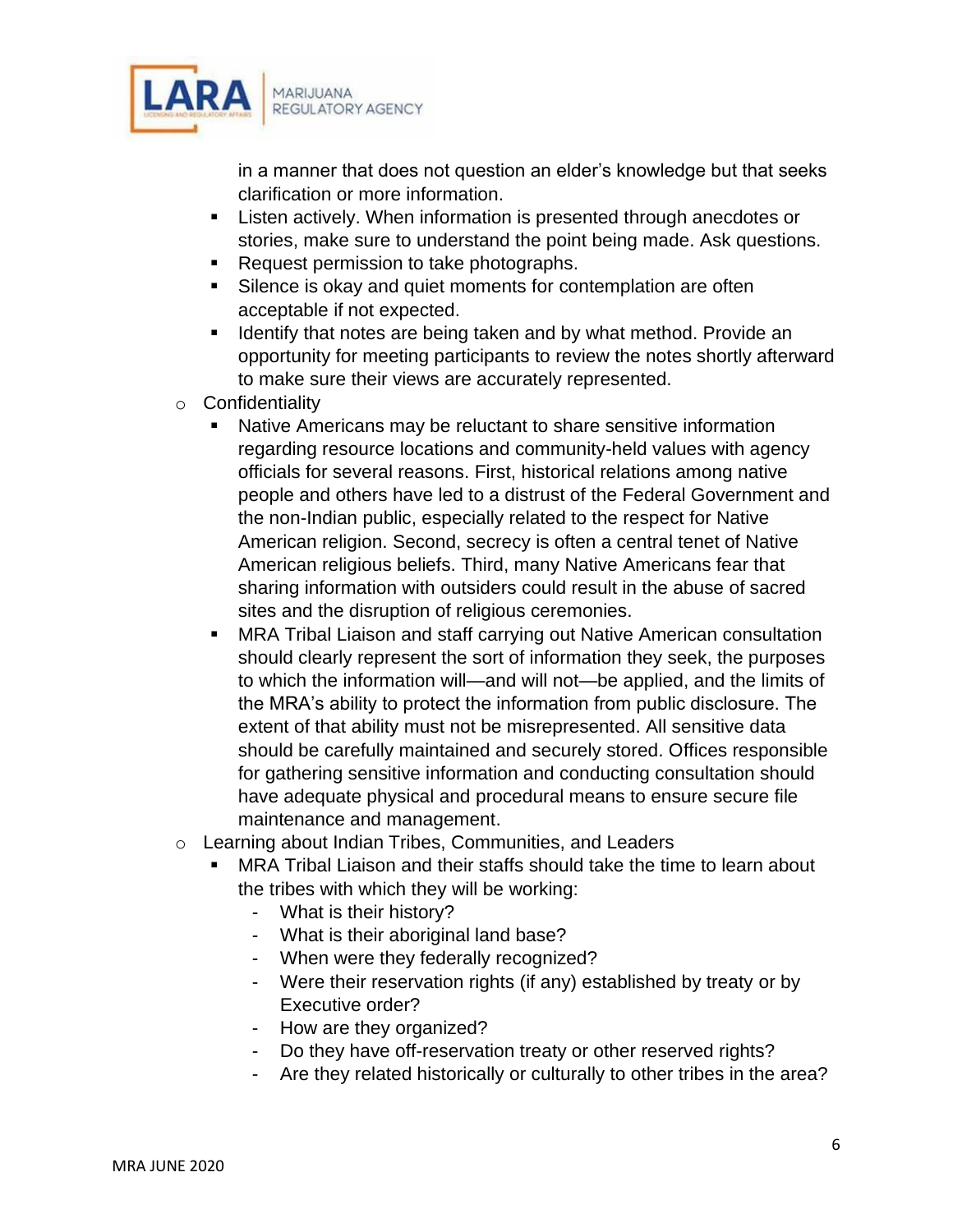

in a manner that does not question an elder's knowledge but that seeks clarification or more information.

- Listen actively. When information is presented through anecdotes or stories, make sure to understand the point being made. Ask questions.
- Request permission to take photographs.
- Silence is okay and quiet moments for contemplation are often acceptable if not expected.
- Identify that notes are being taken and by what method. Provide an opportunity for meeting participants to review the notes shortly afterward to make sure their views are accurately represented.
- o Confidentiality
	- Native Americans may be reluctant to share sensitive information regarding resource locations and community-held values with agency officials for several reasons. First, historical relations among native people and others have led to a distrust of the Federal Government and the non-Indian public, especially related to the respect for Native American religion. Second, secrecy is often a central tenet of Native American religious beliefs. Third, many Native Americans fear that sharing information with outsiders could result in the abuse of sacred sites and the disruption of religious ceremonies.
	- MRA Tribal Liaison and staff carrying out Native American consultation should clearly represent the sort of information they seek, the purposes to which the information will—and will not—be applied, and the limits of the MRA's ability to protect the information from public disclosure. The extent of that ability must not be misrepresented. All sensitive data should be carefully maintained and securely stored. Offices responsible for gathering sensitive information and conducting consultation should have adequate physical and procedural means to ensure secure file maintenance and management.
- o Learning about Indian Tribes, Communities, and Leaders
	- MRA Tribal Liaison and their staffs should take the time to learn about the tribes with which they will be working:
		- What is their history?
		- What is their aboriginal land base?
		- When were they federally recognized?
		- Were their reservation rights (if any) established by treaty or by Executive order?
		- How are they organized?
		- Do they have off-reservation treaty or other reserved rights?
		- Are they related historically or culturally to other tribes in the area?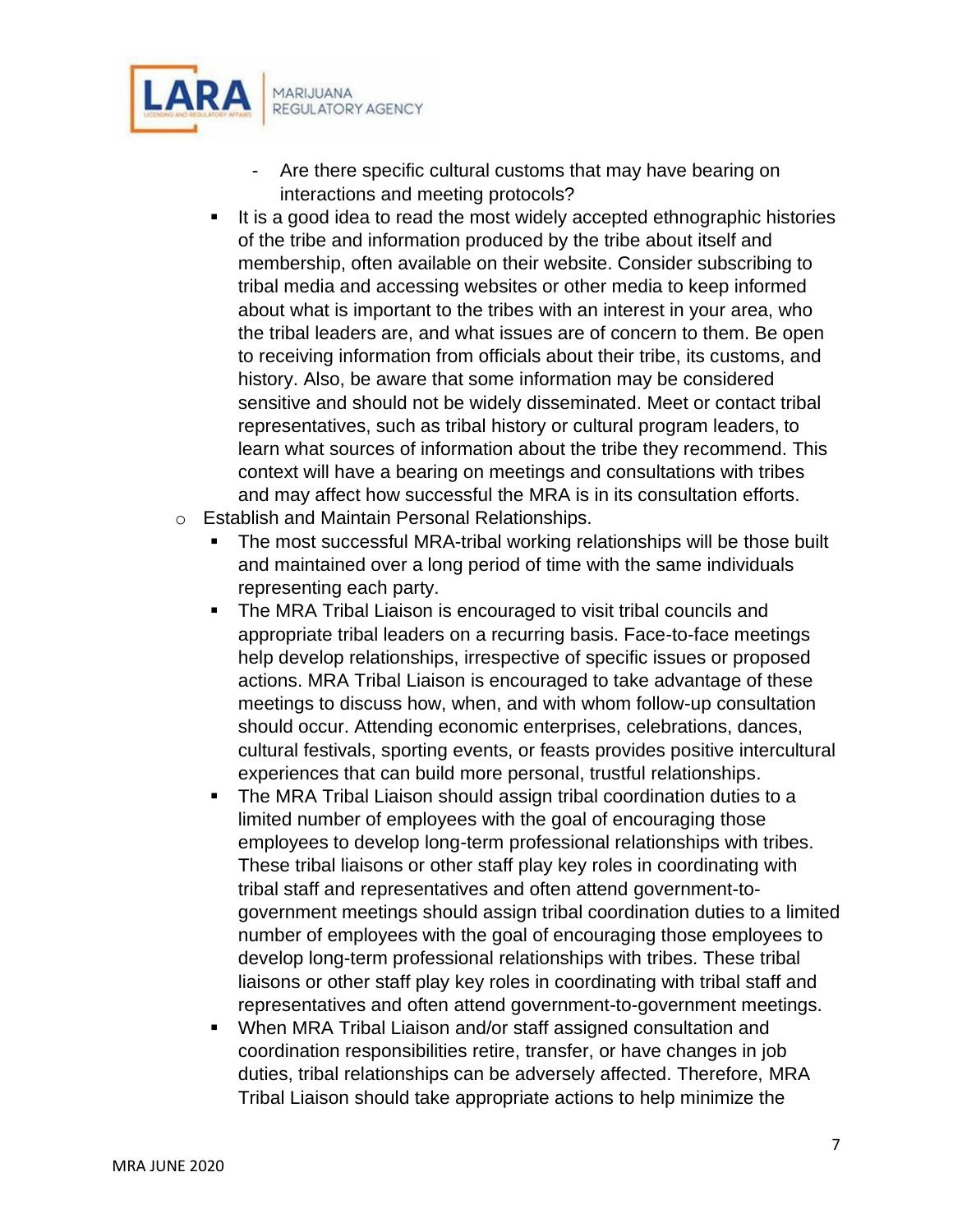

- Are there specific cultural customs that may have bearing on interactions and meeting protocols?
- It is a good idea to read the most widely accepted ethnographic histories of the tribe and information produced by the tribe about itself and membership, often available on their website. Consider subscribing to tribal media and accessing websites or other media to keep informed about what is important to the tribes with an interest in your area, who the tribal leaders are, and what issues are of concern to them. Be open to receiving information from officials about their tribe, its customs, and history. Also, be aware that some information may be considered sensitive and should not be widely disseminated. Meet or contact tribal representatives, such as tribal history or cultural program leaders, to learn what sources of information about the tribe they recommend. This context will have a bearing on meetings and consultations with tribes and may affect how successful the MRA is in its consultation efforts.
- o Establish and Maintain Personal Relationships.
	- The most successful MRA-tribal working relationships will be those built and maintained over a long period of time with the same individuals representing each party.
	- The MRA Tribal Liaison is encouraged to visit tribal councils and appropriate tribal leaders on a recurring basis. Face-to-face meetings help develop relationships, irrespective of specific issues or proposed actions. MRA Tribal Liaison is encouraged to take advantage of these meetings to discuss how, when, and with whom follow-up consultation should occur. Attending economic enterprises, celebrations, dances, cultural festivals, sporting events, or feasts provides positive intercultural experiences that can build more personal, trustful relationships.
	- The MRA Tribal Liaison should assign tribal coordination duties to a limited number of employees with the goal of encouraging those employees to develop long-term professional relationships with tribes. These tribal liaisons or other staff play key roles in coordinating with tribal staff and representatives and often attend government-togovernment meetings should assign tribal coordination duties to a limited number of employees with the goal of encouraging those employees to develop long-term professional relationships with tribes. These tribal liaisons or other staff play key roles in coordinating with tribal staff and representatives and often attend government-to-government meetings.
	- When MRA Tribal Liaison and/or staff assigned consultation and coordination responsibilities retire, transfer, or have changes in job duties, tribal relationships can be adversely affected. Therefore, MRA Tribal Liaison should take appropriate actions to help minimize the